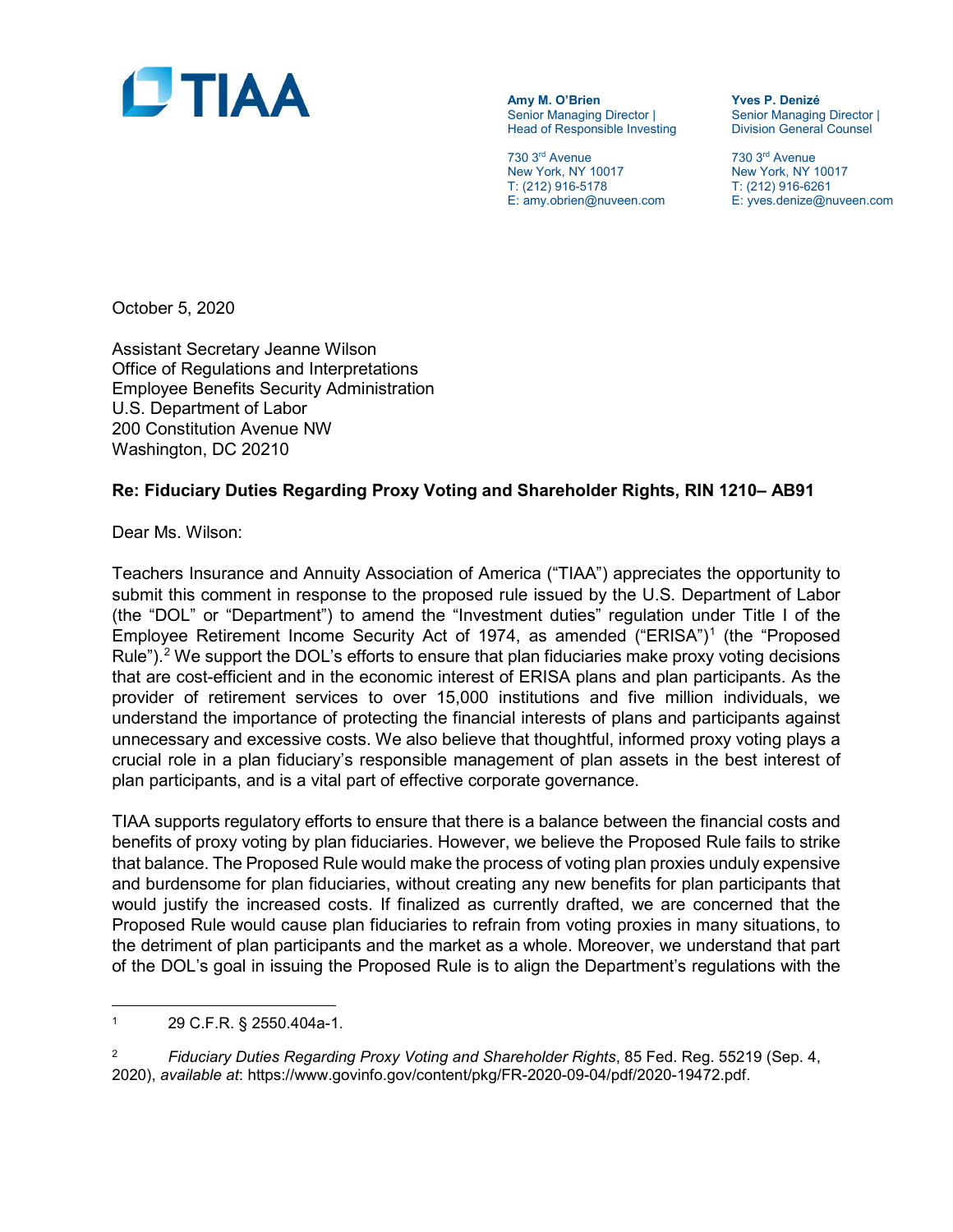

**Amy M. O'Brien Yves P. Denizé** Head of Responsible Investing

730 3<sup>rd</sup> Avenue 730 3<sup>rd</sup> Avenue 730 3<sup>rd</sup> Avenue<br>
New York, NY 10017 10017 New York, NY 1 New York, NY 10017<br>
T: (212) 916-5178<br>
T: (212) 916-6261 T: (212) 916-5178 T: (212) 916-6261<br>
E: amy.obrien@nuveen.com E: yves.denize@ni

Senior Managing Director |<br>Division General Counsel

E: yves.denize@nuveen.com

October 5, 2020

Assistant Secretary Jeanne Wilson Office of Regulations and Interpretations Employee Benefits Security Administration U.S. Department of Labor 200 Constitution Avenue NW Washington, DC 20210

#### **Re: Fiduciary Duties Regarding Proxy Voting and Shareholder Rights, RIN 1210– AB91**

Dear Ms. Wilson:

Teachers Insurance and Annuity Association of America ("TIAA") appreciates the opportunity to submit this comment in response to the proposed rule issued by the U.S. Department of Labor (the "DOL" or "Department") to amend the "Investment duties" regulation under Title I of the Employee Retirement Income Security Act of [1](#page-0-0)974, as amended ("ERISA")<sup>1</sup> (the "Proposed Rule").<sup>2</sup> We support the DOL's efforts to ensure that plan fiduciaries make proxy voting decisions that are cost-efficient and in the economic interest of ERISA plans and plan participants. As the provider of retirement services to over 15,000 institutions and five million individuals, we understand the importance of protecting the financial interests of plans and participants against unnecessary and excessive costs. We also believe that thoughtful, informed proxy voting plays a crucial role in a plan fiduciary's responsible management of plan assets in the best interest of plan participants, and is a vital part of effective corporate governance.

TIAA supports regulatory efforts to ensure that there is a balance between the financial costs and benefits of proxy voting by plan fiduciaries. However, we believe the Proposed Rule fails to strike that balance. The Proposed Rule would make the process of voting plan proxies unduly expensive and burdensome for plan fiduciaries, without creating any new benefits for plan participants that would justify the increased costs. If finalized as currently drafted, we are concerned that the Proposed Rule would cause plan fiduciaries to refrain from voting proxies in many situations, to the detriment of plan participants and the market as a whole. Moreover, we understand that part of the DOL's goal in issuing the Proposed Rule is to align the Department's regulations with the

 $\overline{\phantom{a}}$ 

<span id="page-0-1"></span><sup>2</sup> *Fiduciary Duties Regarding Proxy Voting and Shareholder Rights*, 85 Fed. Reg. 55219 (Sep. 4, 2020), *available at*: https://www.govinfo.gov/content/pkg/FR-2020-09-04/pdf/2020-19472.pdf.

<span id="page-0-0"></span><sup>1</sup> 29 C.F.R. § 2550.404a-1.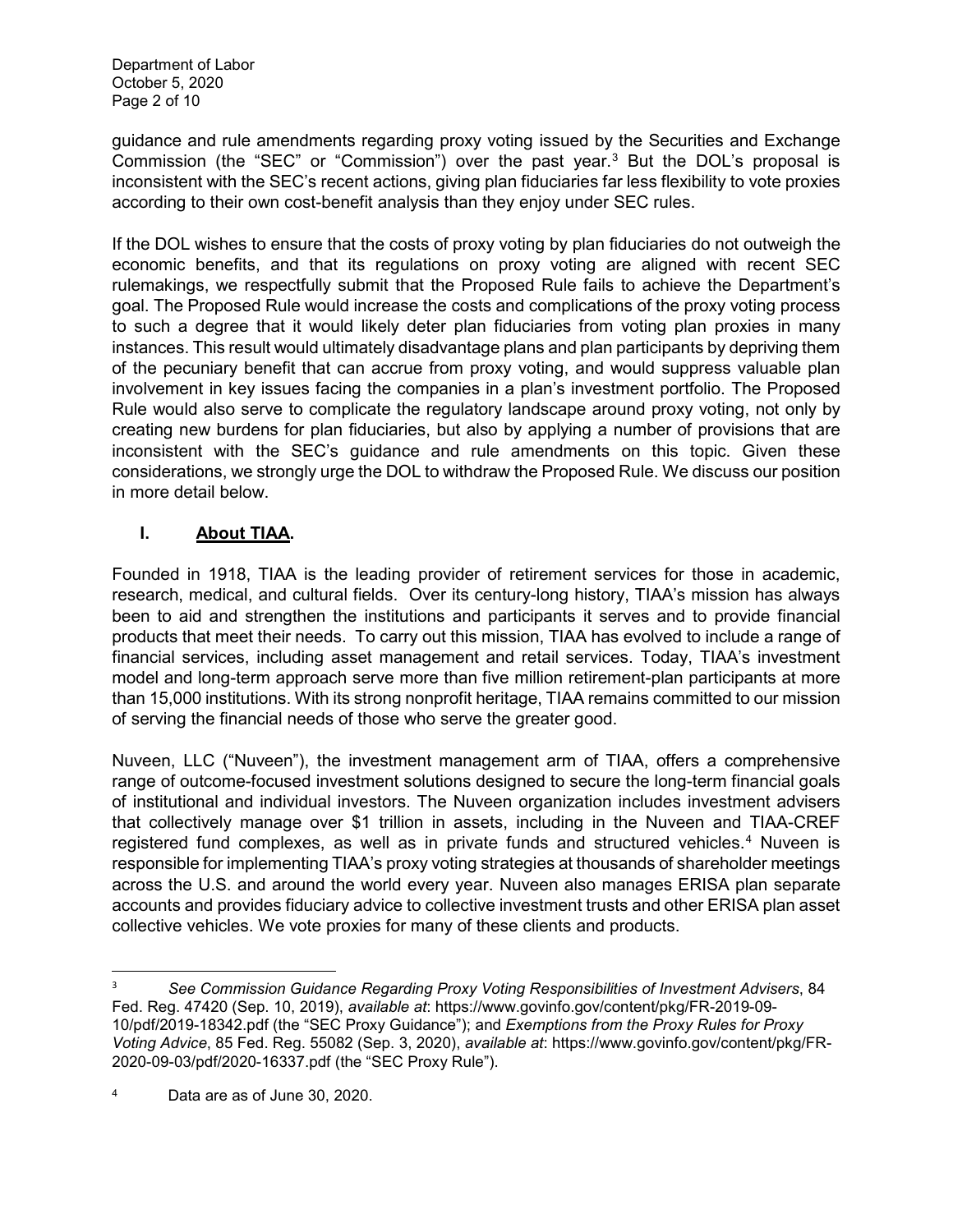guidance and rule amendments regarding proxy voting issued by the Securities and Exchange Commission (the "SEC" or "Commission") over the past year. [3](#page-1-0) But the DOL's proposal is inconsistent with the SEC's recent actions, giving plan fiduciaries far less flexibility to vote proxies according to their own cost-benefit analysis than they enjoy under SEC rules.

If the DOL wishes to ensure that the costs of proxy voting by plan fiduciaries do not outweigh the economic benefits, and that its regulations on proxy voting are aligned with recent SEC rulemakings, we respectfully submit that the Proposed Rule fails to achieve the Department's goal. The Proposed Rule would increase the costs and complications of the proxy voting process to such a degree that it would likely deter plan fiduciaries from voting plan proxies in many instances. This result would ultimately disadvantage plans and plan participants by depriving them of the pecuniary benefit that can accrue from proxy voting, and would suppress valuable plan involvement in key issues facing the companies in a plan's investment portfolio. The Proposed Rule would also serve to complicate the regulatory landscape around proxy voting, not only by creating new burdens for plan fiduciaries, but also by applying a number of provisions that are inconsistent with the SEC's guidance and rule amendments on this topic. Given these considerations, we strongly urge the DOL to withdraw the Proposed Rule. We discuss our position in more detail below.

# **I. About TIAA.**

Founded in 1918, TIAA is the leading provider of retirement services for those in academic, research, medical, and cultural fields. Over its century-long history, TIAA's mission has always been to aid and strengthen the institutions and participants it serves and to provide financial products that meet their needs. To carry out this mission, TIAA has evolved to include a range of financial services, including asset management and retail services. Today, TIAA's investment model and long-term approach serve more than five million retirement-plan participants at more than 15,000 institutions. With its strong nonprofit heritage, TIAA remains committed to our mission of serving the financial needs of those who serve the greater good.

Nuveen, LLC ("Nuveen"), the investment management arm of TIAA, offers a comprehensive range of outcome-focused investment solutions designed to secure the long-term financial goals of institutional and individual investors. The Nuveen organization includes investment advisers that collectively manage over \$1 trillion in assets, including in the Nuveen and TIAA-CREF registered fund complexes, as well as in private funds and structured vehicles.<sup>[4](#page-1-1)</sup> Nuveen is responsible for implementing TIAA's proxy voting strategies at thousands of shareholder meetings across the U.S. and around the world every year. Nuveen also manages ERISA plan separate accounts and provides fiduciary advice to collective investment trusts and other ERISA plan asset collective vehicles. We vote proxies for many of these clients and products.

<span id="page-1-0"></span> <sup>3</sup> *See Commission Guidance Regarding Proxy Voting Responsibilities of Investment Advisers*, 84 Fed. Reg. 47420 (Sep. 10, 2019), *available at*: https://www.govinfo.gov/content/pkg/FR-2019-09- 10/pdf/2019-18342.pdf (the "SEC Proxy Guidance"); and *Exemptions from the Proxy Rules for Proxy Voting Advice*, 85 Fed. Reg. 55082 (Sep. 3, 2020), *available at*: https://www.govinfo.gov/content/pkg/FR-2020-09-03/pdf/2020-16337.pdf (the "SEC Proxy Rule").

<span id="page-1-1"></span><sup>4</sup> Data are as of June 30, 2020.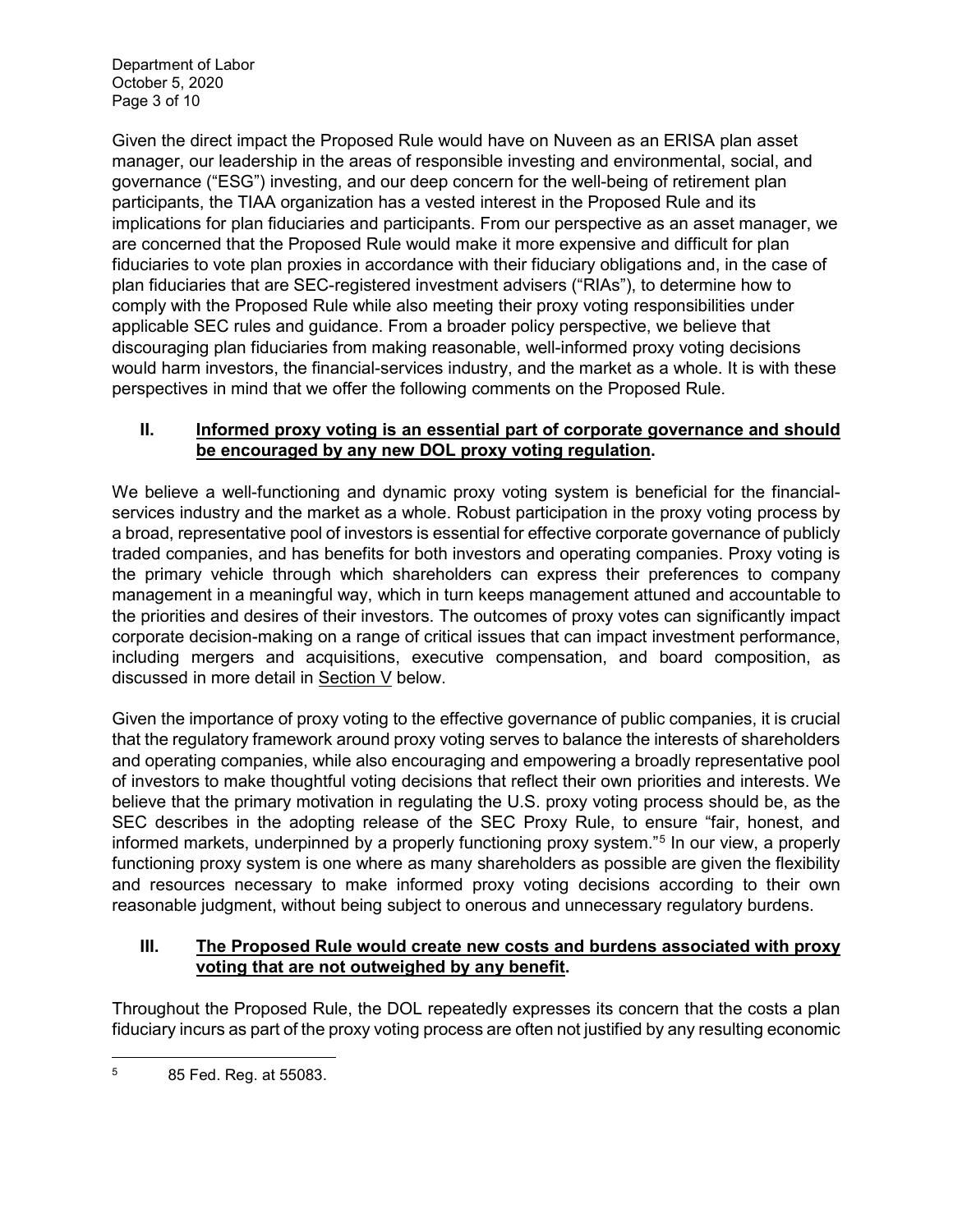Department of Labor October 5, 2020 Page 3 of 10

Given the direct impact the Proposed Rule would have on Nuveen as an ERISA plan asset manager, our leadership in the areas of responsible investing and environmental, social, and governance ("ESG") investing, and our deep concern for the well-being of retirement plan participants, the TIAA organization has a vested interest in the Proposed Rule and its implications for plan fiduciaries and participants. From our perspective as an asset manager, we are concerned that the Proposed Rule would make it more expensive and difficult for plan fiduciaries to vote plan proxies in accordance with their fiduciary obligations and, in the case of plan fiduciaries that are SEC-registered investment advisers ("RIAs"), to determine how to comply with the Proposed Rule while also meeting their proxy voting responsibilities under applicable SEC rules and guidance. From a broader policy perspective, we believe that discouraging plan fiduciaries from making reasonable, well-informed proxy voting decisions would harm investors, the financial-services industry, and the market as a whole. It is with these perspectives in mind that we offer the following comments on the Proposed Rule.

### **II. Informed proxy voting is an essential part of corporate governance and should be encouraged by any new DOL proxy voting regulation.**

We believe a well-functioning and dynamic proxy voting system is beneficial for the financialservices industry and the market as a whole. Robust participation in the proxy voting process by a broad, representative pool of investors is essential for effective corporate governance of publicly traded companies, and has benefits for both investors and operating companies. Proxy voting is the primary vehicle through which shareholders can express their preferences to company management in a meaningful way, which in turn keeps management attuned and accountable to the priorities and desires of their investors. The outcomes of proxy votes can significantly impact corporate decision-making on a range of critical issues that can impact investment performance, including mergers and acquisitions, executive compensation, and board composition, as discussed in more detail in Section V below.

Given the importance of proxy voting to the effective governance of public companies, it is crucial that the regulatory framework around proxy voting serves to balance the interests of shareholders and operating companies, while also encouraging and empowering a broadly representative pool of investors to make thoughtful voting decisions that reflect their own priorities and interests. We believe that the primary motivation in regulating the U.S. proxy voting process should be, as the SEC describes in the adopting release of the SEC Proxy Rule, to ensure "fair, honest, and informed markets, underpinned by a properly functioning proxy system."[5](#page-2-0) In our view, a properly functioning proxy system is one where as many shareholders as possible are given the flexibility and resources necessary to make informed proxy voting decisions according to their own reasonable judgment, without being subject to onerous and unnecessary regulatory burdens.

## **III. The Proposed Rule would create new costs and burdens associated with proxy voting that are not outweighed by any benefit.**

Throughout the Proposed Rule, the DOL repeatedly expresses its concern that the costs a plan fiduciary incurs as part of the proxy voting process are often not justified by any resulting economic

<span id="page-2-0"></span> $\overline{\phantom{a}}$ <sup>5</sup> 85 Fed. Reg. at 55083.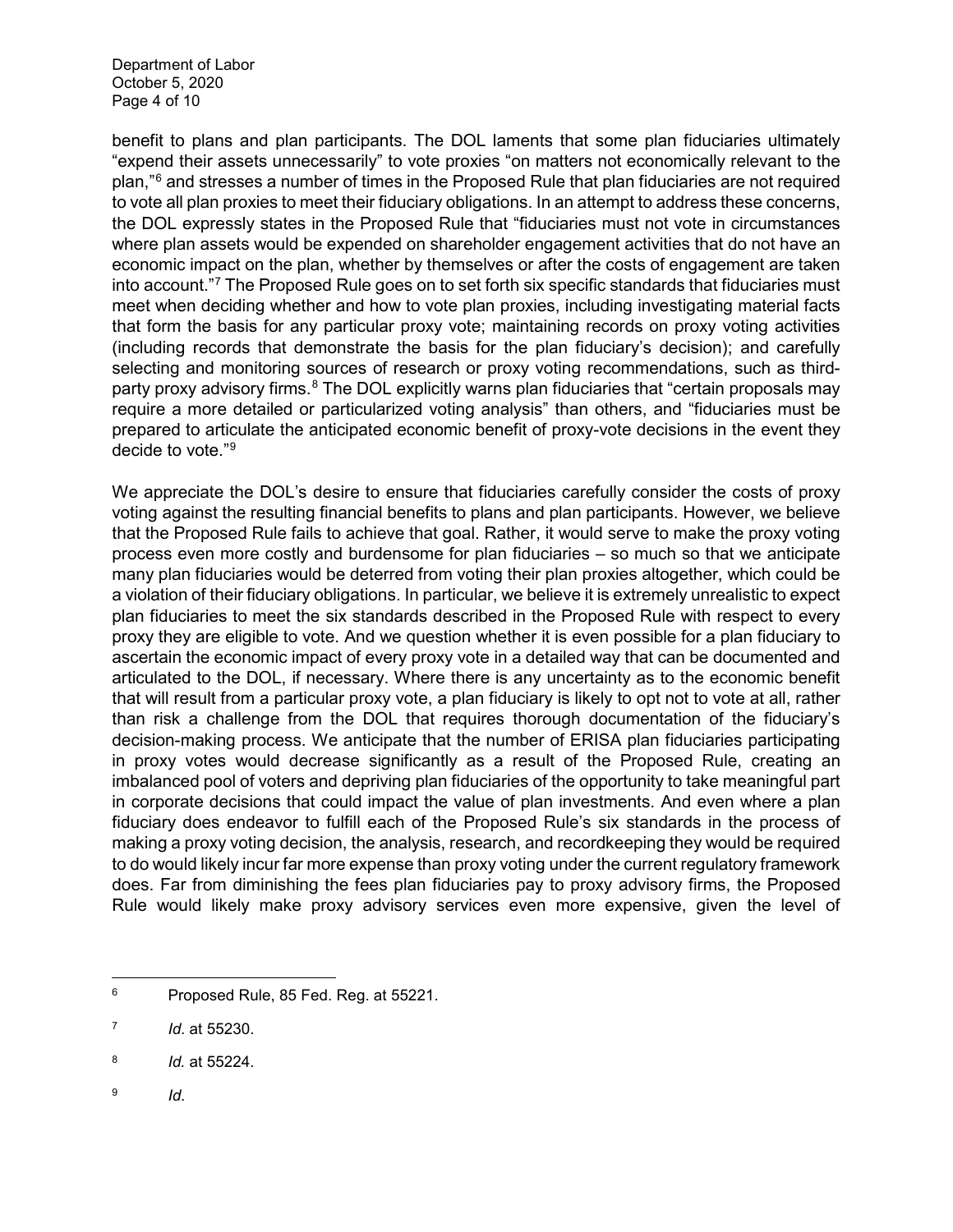Department of Labor October 5, 2020 Page 4 of 10

benefit to plans and plan participants. The DOL laments that some plan fiduciaries ultimately "expend their assets unnecessarily" to vote proxies "on matters not economically relevant to the plan,"[6](#page-3-0) and stresses a number of times in the Proposed Rule that plan fiduciaries are not required to vote all plan proxies to meet their fiduciary obligations. In an attempt to address these concerns, the DOL expressly states in the Proposed Rule that "fiduciaries must not vote in circumstances where plan assets would be expended on shareholder engagement activities that do not have an economic impact on the plan, whether by themselves or after the costs of engagement are taken into account."[7](#page-3-1) The Proposed Rule goes on to set forth six specific standards that fiduciaries must meet when deciding whether and how to vote plan proxies, including investigating material facts that form the basis for any particular proxy vote; maintaining records on proxy voting activities (including records that demonstrate the basis for the plan fiduciary's decision); and carefully selecting and monitoring sources of research or proxy voting recommendations, such as third-party proxy advisory firms.<sup>[8](#page-3-2)</sup> The DOL explicitly warns plan fiduciaries that "certain proposals may require a more detailed or particularized voting analysis" than others, and "fiduciaries must be prepared to articulate the anticipated economic benefit of proxy-vote decisions in the event they decide to vote."[9](#page-3-3)

We appreciate the DOL's desire to ensure that fiduciaries carefully consider the costs of proxy voting against the resulting financial benefits to plans and plan participants. However, we believe that the Proposed Rule fails to achieve that goal. Rather, it would serve to make the proxy voting process even more costly and burdensome for plan fiduciaries – so much so that we anticipate many plan fiduciaries would be deterred from voting their plan proxies altogether, which could be a violation of their fiduciary obligations. In particular, we believe it is extremely unrealistic to expect plan fiduciaries to meet the six standards described in the Proposed Rule with respect to every proxy they are eligible to vote. And we question whether it is even possible for a plan fiduciary to ascertain the economic impact of every proxy vote in a detailed way that can be documented and articulated to the DOL, if necessary. Where there is any uncertainty as to the economic benefit that will result from a particular proxy vote, a plan fiduciary is likely to opt not to vote at all, rather than risk a challenge from the DOL that requires thorough documentation of the fiduciary's decision-making process. We anticipate that the number of ERISA plan fiduciaries participating in proxy votes would decrease significantly as a result of the Proposed Rule, creating an imbalanced pool of voters and depriving plan fiduciaries of the opportunity to take meaningful part in corporate decisions that could impact the value of plan investments. And even where a plan fiduciary does endeavor to fulfill each of the Proposed Rule's six standards in the process of making a proxy voting decision, the analysis, research, and recordkeeping they would be required to do would likely incur far more expense than proxy voting under the current regulatory framework does. Far from diminishing the fees plan fiduciaries pay to proxy advisory firms, the Proposed Rule would likely make proxy advisory services even more expensive, given the level of

<span id="page-3-3"></span><sup>9</sup> *Id*.

<span id="page-3-0"></span>l <sup>6</sup> Proposed Rule, 85 Fed. Reg. at 55221.

<span id="page-3-1"></span><sup>7</sup> *Id*. at 55230.

<span id="page-3-2"></span><sup>8</sup> *Id.* at 55224.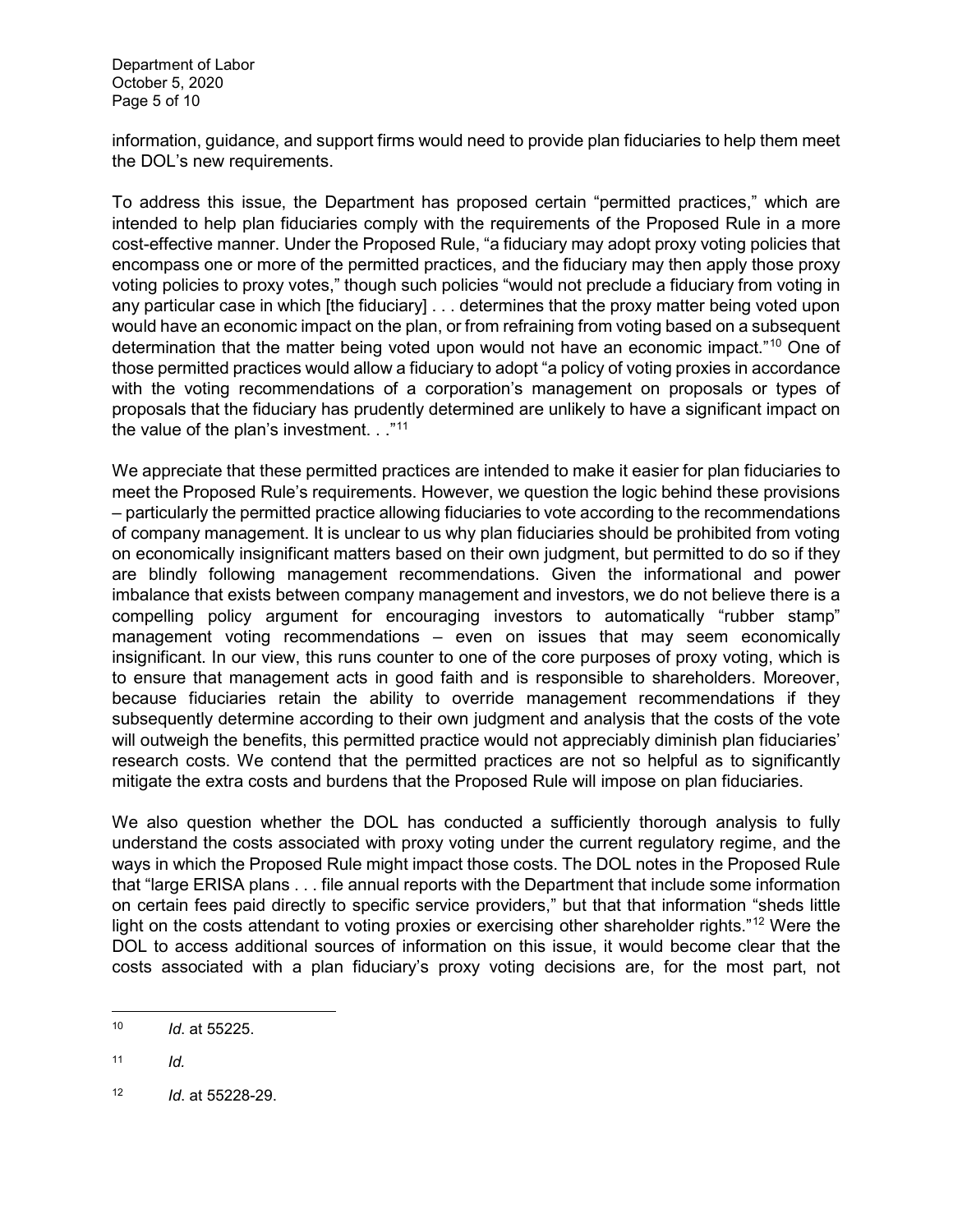information, guidance, and support firms would need to provide plan fiduciaries to help them meet the DOL's new requirements.

To address this issue, the Department has proposed certain "permitted practices," which are intended to help plan fiduciaries comply with the requirements of the Proposed Rule in a more cost-effective manner. Under the Proposed Rule, "a fiduciary may adopt proxy voting policies that encompass one or more of the permitted practices, and the fiduciary may then apply those proxy voting policies to proxy votes," though such policies "would not preclude a fiduciary from voting in any particular case in which [the fiduciary] . . . determines that the proxy matter being voted upon would have an economic impact on the plan, or from refraining from voting based on a subsequent determination that the matter being voted upon would not have an economic impact."<sup>[10](#page-4-0)</sup> One of those permitted practices would allow a fiduciary to adopt "a policy of voting proxies in accordance with the voting recommendations of a corporation's management on proposals or types of proposals that the fiduciary has prudently determined are unlikely to have a significant impact on the value of the plan's investment. . ."<sup>[11](#page-4-1)</sup>

We appreciate that these permitted practices are intended to make it easier for plan fiduciaries to meet the Proposed Rule's requirements. However, we question the logic behind these provisions – particularly the permitted practice allowing fiduciaries to vote according to the recommendations of company management. It is unclear to us why plan fiduciaries should be prohibited from voting on economically insignificant matters based on their own judgment, but permitted to do so if they are blindly following management recommendations. Given the informational and power imbalance that exists between company management and investors, we do not believe there is a compelling policy argument for encouraging investors to automatically "rubber stamp" management voting recommendations – even on issues that may seem economically insignificant. In our view, this runs counter to one of the core purposes of proxy voting, which is to ensure that management acts in good faith and is responsible to shareholders. Moreover, because fiduciaries retain the ability to override management recommendations if they subsequently determine according to their own judgment and analysis that the costs of the vote will outweigh the benefits, this permitted practice would not appreciably diminish plan fiduciaries' research costs. We contend that the permitted practices are not so helpful as to significantly mitigate the extra costs and burdens that the Proposed Rule will impose on plan fiduciaries.

We also question whether the DOL has conducted a sufficiently thorough analysis to fully understand the costs associated with proxy voting under the current regulatory regime, and the ways in which the Proposed Rule might impact those costs. The DOL notes in the Proposed Rule that "large ERISA plans . . . file annual reports with the Department that include some information on certain fees paid directly to specific service providers," but that that information "sheds little light on the costs attendant to voting proxies or exercising other shareholder rights."<sup>[12](#page-4-2)</sup> Were the DOL to access additional sources of information on this issue, it would become clear that the costs associated with a plan fiduciary's proxy voting decisions are, for the most part, not

<span id="page-4-0"></span> $10$ <sup>10</sup> *Id*. at 55225.

<span id="page-4-1"></span> $11$  *Id.* 

<span id="page-4-2"></span><sup>12</sup> *Id*. at 55228-29.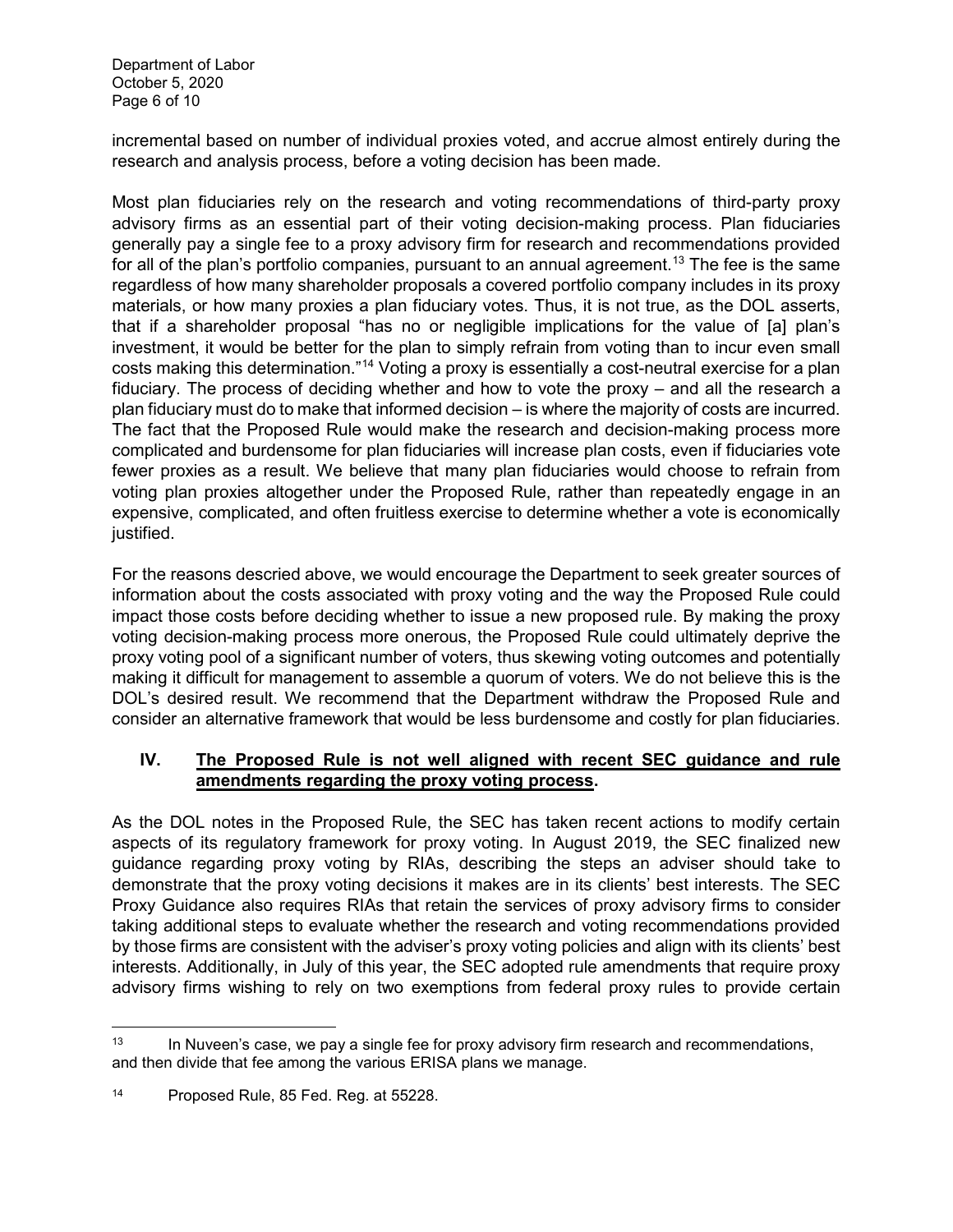Department of Labor October 5, 2020 Page 6 of 10

incremental based on number of individual proxies voted, and accrue almost entirely during the research and analysis process, before a voting decision has been made.

Most plan fiduciaries rely on the research and voting recommendations of third-party proxy advisory firms as an essential part of their voting decision-making process. Plan fiduciaries generally pay a single fee to a proxy advisory firm for research and recommendations provided for all of the plan's portfolio companies, pursuant to an annual agreement. [13](#page-5-0) The fee is the same regardless of how many shareholder proposals a covered portfolio company includes in its proxy materials, or how many proxies a plan fiduciary votes. Thus, it is not true, as the DOL asserts, that if a shareholder proposal "has no or negligible implications for the value of [a] plan's investment, it would be better for the plan to simply refrain from voting than to incur even small costs making this determination."[14](#page-5-1) Voting a proxy is essentially a cost-neutral exercise for a plan fiduciary. The process of deciding whether and how to vote the proxy – and all the research a plan fiduciary must do to make that informed decision – is where the majority of costs are incurred. The fact that the Proposed Rule would make the research and decision-making process more complicated and burdensome for plan fiduciaries will increase plan costs, even if fiduciaries vote fewer proxies as a result. We believe that many plan fiduciaries would choose to refrain from voting plan proxies altogether under the Proposed Rule, rather than repeatedly engage in an expensive, complicated, and often fruitless exercise to determine whether a vote is economically justified.

For the reasons descried above, we would encourage the Department to seek greater sources of information about the costs associated with proxy voting and the way the Proposed Rule could impact those costs before deciding whether to issue a new proposed rule. By making the proxy voting decision-making process more onerous, the Proposed Rule could ultimately deprive the proxy voting pool of a significant number of voters, thus skewing voting outcomes and potentially making it difficult for management to assemble a quorum of voters. We do not believe this is the DOL's desired result. We recommend that the Department withdraw the Proposed Rule and consider an alternative framework that would be less burdensome and costly for plan fiduciaries.

#### **IV. The Proposed Rule is not well aligned with recent SEC guidance and rule amendments regarding the proxy voting process.**

As the DOL notes in the Proposed Rule, the SEC has taken recent actions to modify certain aspects of its regulatory framework for proxy voting. In August 2019, the SEC finalized new guidance regarding proxy voting by RIAs, describing the steps an adviser should take to demonstrate that the proxy voting decisions it makes are in its clients' best interests. The SEC Proxy Guidance also requires RIAs that retain the services of proxy advisory firms to consider taking additional steps to evaluate whether the research and voting recommendations provided by those firms are consistent with the adviser's proxy voting policies and align with its clients' best interests. Additionally, in July of this year, the SEC adopted rule amendments that require proxy advisory firms wishing to rely on two exemptions from federal proxy rules to provide certain

 $\overline{\phantom{a}}$ 

<span id="page-5-0"></span> $13$  In Nuveen's case, we pay a single fee for proxy advisory firm research and recommendations, and then divide that fee among the various ERISA plans we manage.

<span id="page-5-1"></span><sup>14</sup> Proposed Rule, 85 Fed. Reg. at 55228.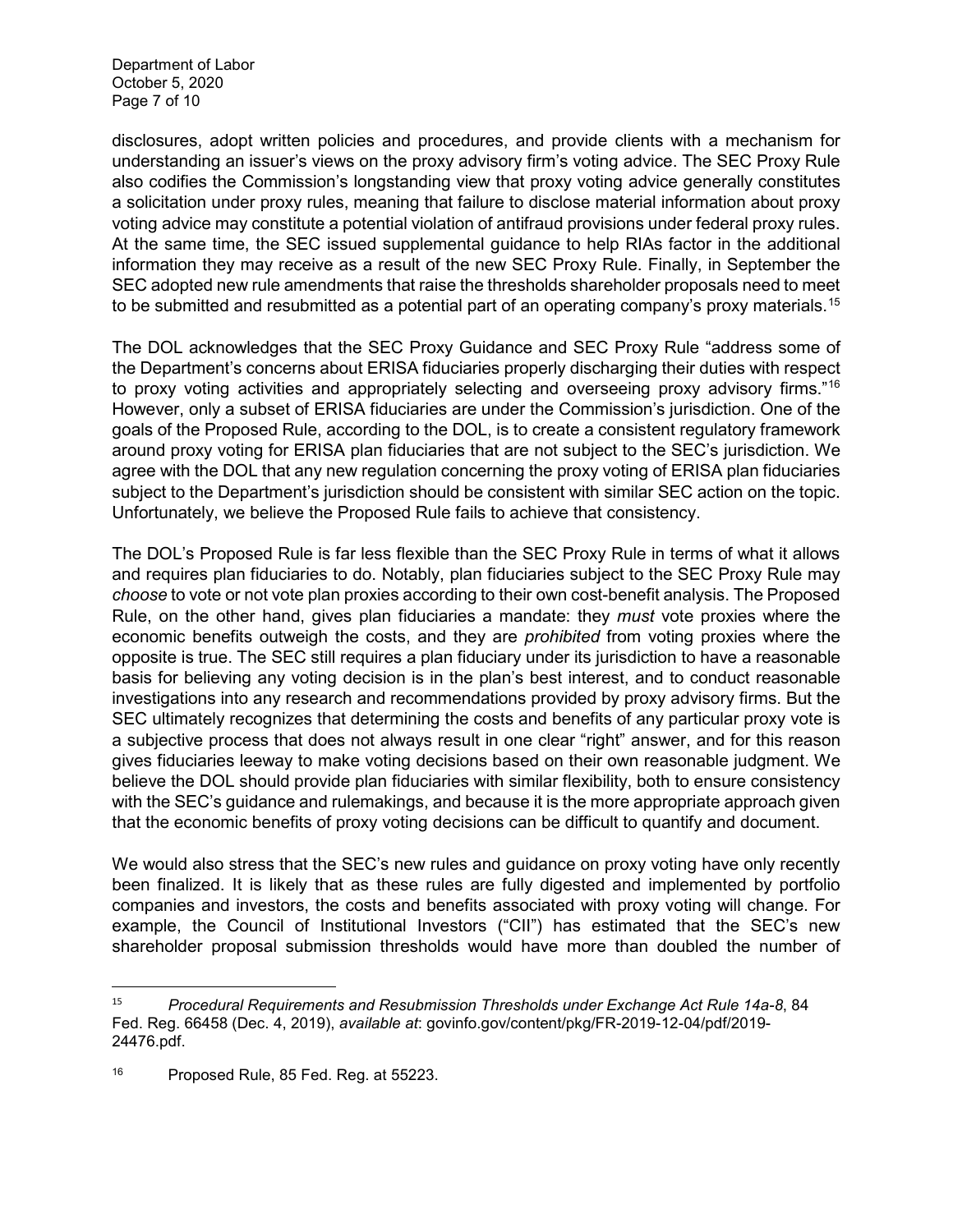Department of Labor October 5, 2020 Page 7 of 10

disclosures, adopt written policies and procedures, and provide clients with a mechanism for understanding an issuer's views on the proxy advisory firm's voting advice. The SEC Proxy Rule also codifies the Commission's longstanding view that proxy voting advice generally constitutes a solicitation under proxy rules, meaning that failure to disclose material information about proxy voting advice may constitute a potential violation of antifraud provisions under federal proxy rules. At the same time, the SEC issued supplemental guidance to help RIAs factor in the additional information they may receive as a result of the new SEC Proxy Rule. Finally, in September the SEC adopted new rule amendments that raise the thresholds shareholder proposals need to meet to be submitted and resubmitted as a potential part of an operating company's proxy materials. $^{\rm 15}$  $^{\rm 15}$  $^{\rm 15}$ 

The DOL acknowledges that the SEC Proxy Guidance and SEC Proxy Rule "address some of the Department's concerns about ERISA fiduciaries properly discharging their duties with respect to proxy voting activities and appropriately selecting and overseeing proxy advisory firms."<sup>[16](#page-6-1)</sup> However, only a subset of ERISA fiduciaries are under the Commission's jurisdiction. One of the goals of the Proposed Rule, according to the DOL, is to create a consistent regulatory framework around proxy voting for ERISA plan fiduciaries that are not subject to the SEC's jurisdiction. We agree with the DOL that any new regulation concerning the proxy voting of ERISA plan fiduciaries subject to the Department's jurisdiction should be consistent with similar SEC action on the topic. Unfortunately, we believe the Proposed Rule fails to achieve that consistency.

The DOL's Proposed Rule is far less flexible than the SEC Proxy Rule in terms of what it allows and requires plan fiduciaries to do. Notably, plan fiduciaries subject to the SEC Proxy Rule may *choose* to vote or not vote plan proxies according to their own cost-benefit analysis. The Proposed Rule, on the other hand, gives plan fiduciaries a mandate: they *must* vote proxies where the economic benefits outweigh the costs, and they are *prohibited* from voting proxies where the opposite is true. The SEC still requires a plan fiduciary under its jurisdiction to have a reasonable basis for believing any voting decision is in the plan's best interest, and to conduct reasonable investigations into any research and recommendations provided by proxy advisory firms. But the SEC ultimately recognizes that determining the costs and benefits of any particular proxy vote is a subjective process that does not always result in one clear "right" answer, and for this reason gives fiduciaries leeway to make voting decisions based on their own reasonable judgment. We believe the DOL should provide plan fiduciaries with similar flexibility, both to ensure consistency with the SEC's guidance and rulemakings, and because it is the more appropriate approach given that the economic benefits of proxy voting decisions can be difficult to quantify and document.

We would also stress that the SEC's new rules and guidance on proxy voting have only recently been finalized. It is likely that as these rules are fully digested and implemented by portfolio companies and investors, the costs and benefits associated with proxy voting will change. For example, the Council of Institutional Investors ("CII") has estimated that the SEC's new shareholder proposal submission thresholds would have more than doubled the number of

<span id="page-6-0"></span> <sup>15</sup> *Procedural Requirements and Resubmission Thresholds under Exchange Act Rule 14a-8*, 84 Fed. Reg. 66458 (Dec. 4, 2019), *available at*: govinfo.gov/content/pkg/FR-2019-12-04/pdf/2019- 24476.pdf.

<span id="page-6-1"></span><sup>16</sup> Proposed Rule, 85 Fed. Reg. at 55223.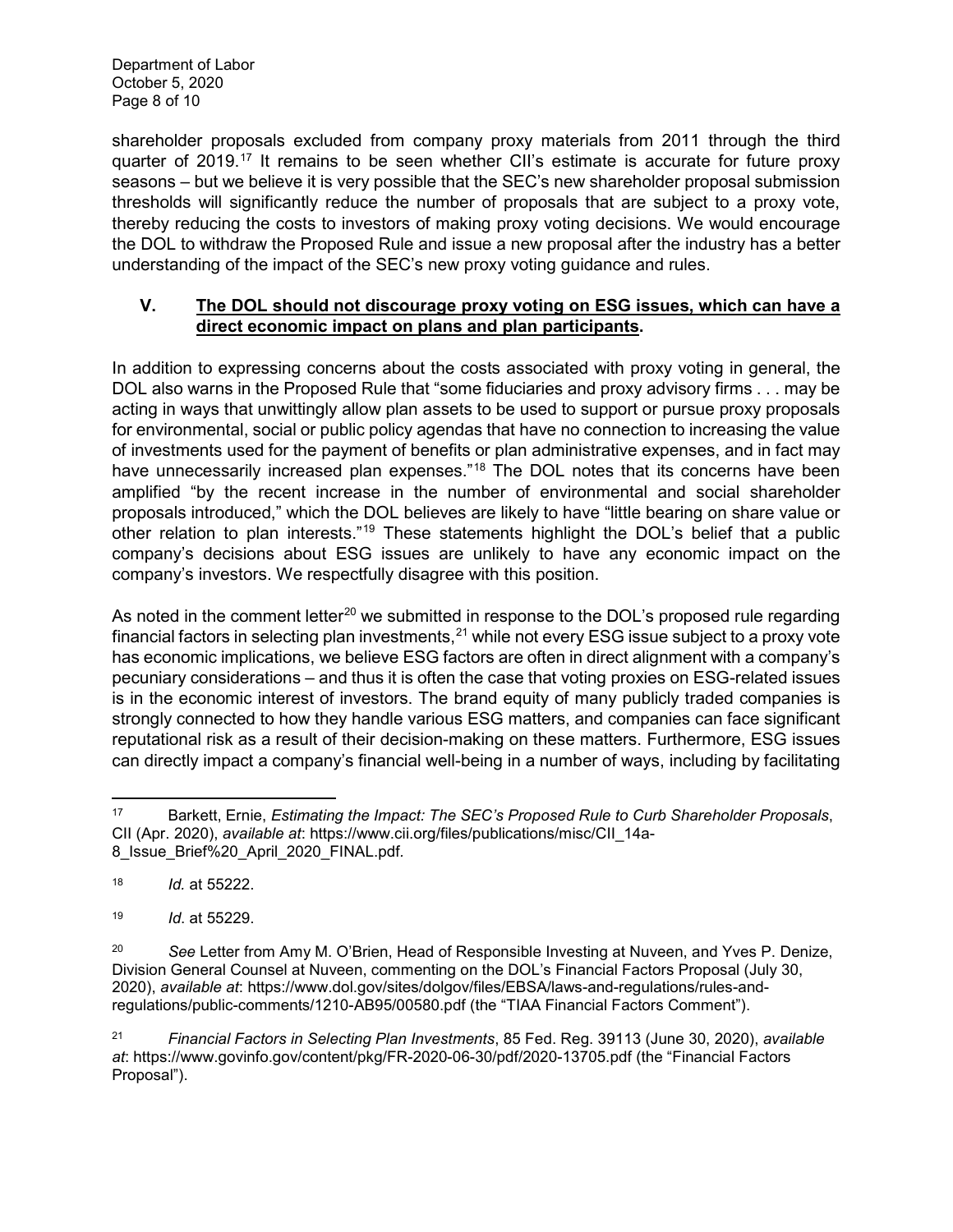shareholder proposals excluded from company proxy materials from 2011 through the third quarter of 2019.[17](#page-7-0) It remains to be seen whether CII's estimate is accurate for future proxy seasons – but we believe it is very possible that the SEC's new shareholder proposal submission thresholds will significantly reduce the number of proposals that are subject to a proxy vote, thereby reducing the costs to investors of making proxy voting decisions. We would encourage the DOL to withdraw the Proposed Rule and issue a new proposal after the industry has a better understanding of the impact of the SEC's new proxy voting guidance and rules.

### **V. The DOL should not discourage proxy voting on ESG issues, which can have a direct economic impact on plans and plan participants.**

In addition to expressing concerns about the costs associated with proxy voting in general, the DOL also warns in the Proposed Rule that "some fiduciaries and proxy advisory firms . . . may be acting in ways that unwittingly allow plan assets to be used to support or pursue proxy proposals for environmental, social or public policy agendas that have no connection to increasing the value of investments used for the payment of benefits or plan administrative expenses, and in fact may have unnecessarily increased plan expenses."<sup>[18](#page-7-1)</sup> The DOL notes that its concerns have been amplified "by the recent increase in the number of environmental and social shareholder proposals introduced," which the DOL believes are likely to have "little bearing on share value or other relation to plan interests."[19](#page-7-2) These statements highlight the DOL's belief that a public company's decisions about ESG issues are unlikely to have any economic impact on the company's investors. We respectfully disagree with this position.

As noted in the comment letter<sup>[20](#page-7-3)</sup> we submitted in response to the DOL's proposed rule regarding financial factors in selecting plan investments,  $21$  while not every ESG issue subject to a proxy vote has economic implications, we believe ESG factors are often in direct alignment with a company's pecuniary considerations – and thus it is often the case that voting proxies on ESG-related issues is in the economic interest of investors. The brand equity of many publicly traded companies is strongly connected to how they handle various ESG matters, and companies can face significant reputational risk as a result of their decision-making on these matters. Furthermore, ESG issues can directly impact a company's financial well-being in a number of ways, including by facilitating

<span id="page-7-0"></span> $\overline{a}$ <sup>17</sup> Barkett, Ernie, *Estimating the Impact: The SEC's Proposed Rule to Curb Shareholder Proposals*, CII (Apr. 2020), *available at*: https://www.cii.org/files/publications/misc/CII\_14a-8\_Issue\_Brief%20\_April\_2020\_FINAL.pdf*.* 

<span id="page-7-1"></span><sup>18</sup> *Id.* at 55222.

<span id="page-7-2"></span><sup>19</sup> *Id*. at 55229.

<span id="page-7-3"></span><sup>20</sup> *See* Letter from Amy M. O'Brien, Head of Responsible Investing at Nuveen, and Yves P. Denize, Division General Counsel at Nuveen, commenting on the DOL's Financial Factors Proposal (July 30, 2020), *available at*: https://www.dol.gov/sites/dolgov/files/EBSA/laws-and-regulations/rules-andregulations/public-comments/1210-AB95/00580.pdf (the "TIAA Financial Factors Comment").

<span id="page-7-4"></span><sup>21</sup> *Financial Factors in Selecting Plan Investments*, 85 Fed. Reg. 39113 (June 30, 2020), *available at*: https://www.govinfo.gov/content/pkg/FR-2020-06-30/pdf/2020-13705.pdf (the "Financial Factors Proposal").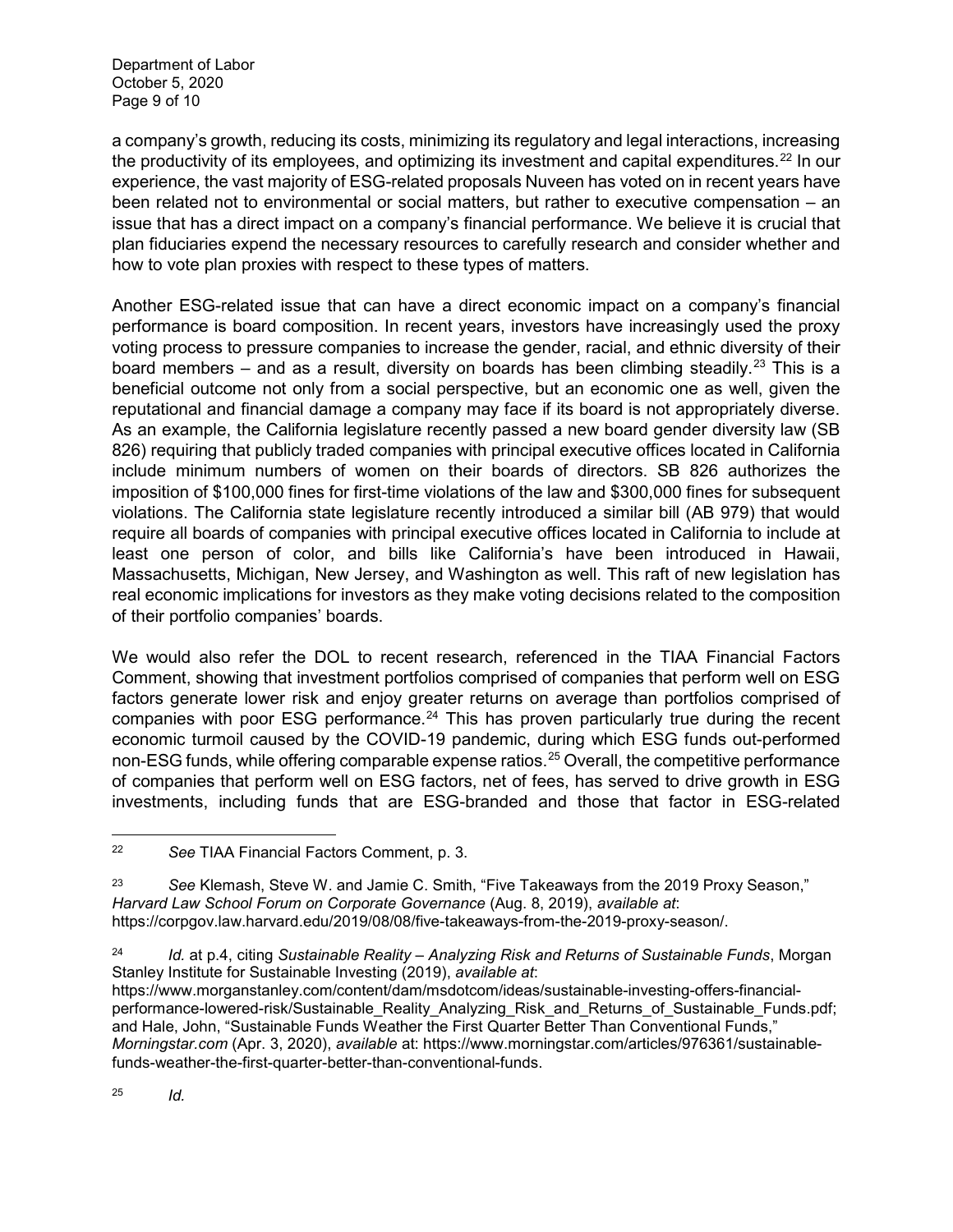a company's growth, reducing its costs, minimizing its regulatory and legal interactions, increasing the productivity of its employees, and optimizing its investment and capital expenditures.<sup>[22](#page-8-0)</sup> In our experience, the vast majority of ESG-related proposals Nuveen has voted on in recent years have been related not to environmental or social matters, but rather to executive compensation – an issue that has a direct impact on a company's financial performance. We believe it is crucial that plan fiduciaries expend the necessary resources to carefully research and consider whether and how to vote plan proxies with respect to these types of matters.

Another ESG-related issue that can have a direct economic impact on a company's financial performance is board composition. In recent years, investors have increasingly used the proxy voting process to pressure companies to increase the gender, racial, and ethnic diversity of their board members – and as a result, diversity on boards has been climbing steadily.<sup>[23](#page-8-1)</sup> This is a beneficial outcome not only from a social perspective, but an economic one as well, given the reputational and financial damage a company may face if its board is not appropriately diverse. As an example, the California legislature recently passed a new board gender diversity law (SB 826) requiring that publicly traded companies with principal executive offices located in California include minimum numbers of women on their boards of directors. SB 826 authorizes the imposition of \$100,000 fines for first-time violations of the law and \$300,000 fines for subsequent violations. The California state legislature recently introduced a similar bill (AB 979) that would require all boards of companies with principal executive offices located in California to include at least one person of color, and bills like California's have been introduced in Hawaii, Massachusetts, Michigan, New Jersey, and Washington as well. This raft of new legislation has real economic implications for investors as they make voting decisions related to the composition of their portfolio companies' boards.

We would also refer the DOL to recent research, referenced in the TIAA Financial Factors Comment, showing that investment portfolios comprised of companies that perform well on ESG factors generate lower risk and enjoy greater returns on average than portfolios comprised of companies with poor ESG performance. $24$  This has proven particularly true during the recent economic turmoil caused by the COVID-19 pandemic, during which ESG funds out-performed non-ESG funds, while offering comparable expense ratios. [25](#page-8-3) Overall, the competitive performance of companies that perform well on ESG factors, net of fees, has served to drive growth in ESG investments, including funds that are ESG-branded and those that factor in ESG-related

<span id="page-8-1"></span><sup>23</sup> *See* Klemash, Steve W. and Jamie C. Smith, "Five Takeaways from the 2019 Proxy Season," *Harvard Law School Forum on Corporate Governance* (Aug. 8, 2019), *available at*: https://corpgov.law.harvard.edu/2019/08/08/five-takeaways-from-the-2019-proxy-season/.

<span id="page-8-2"></span><sup>24</sup> *Id.* at p.4, citing *Sustainable Reality – Analyzing Risk and Returns of Sustainable Funds*, Morgan Stanley Institute for Sustainable Investing (2019), *available at*:

https://www.morganstanley.com/content/dam/msdotcom/ideas/sustainable-investing-offers-financialperformance-lowered-risk/Sustainable\_Reality\_Analyzing\_Risk\_and\_Returns\_of\_Sustainable\_Funds.pdf; and Hale, John, "Sustainable Funds Weather the First Quarter Better Than Conventional Funds," *Morningstar.com* (Apr. 3, 2020), *available* at: https://www.morningstar.com/articles/976361/sustainablefunds-weather-the-first-quarter-better-than-conventional-funds.

<span id="page-8-3"></span><sup>25</sup> *Id.*

l

<span id="page-8-0"></span><sup>22</sup> *See* TIAA Financial Factors Comment, p. 3.